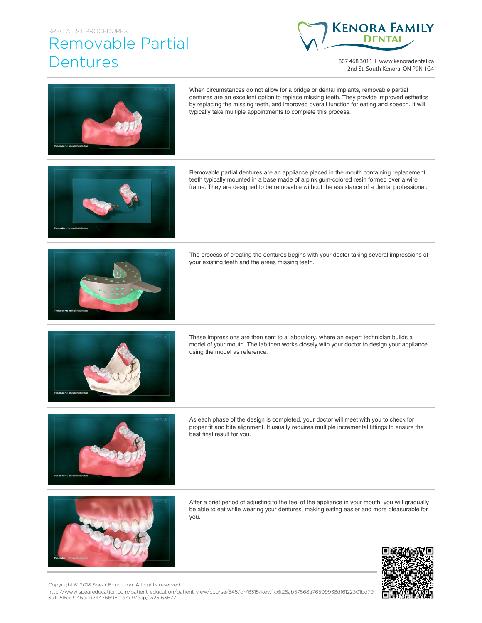## SPECIALIST PROCEDURES Removable Partial Dentures



807 468 3011 | www.kenoradental.ca 2nd St. South Kenora, ON P9N 1G4



When circumstances do not allow for a bridge or dental implants, removable partial dentures are an excellent option to replace missing teeth. They provide improved esthetics by replacing the missing teeth, and improved overall function for eating and speech. It will typically take multiple appointments to complete this process.

Removable partial dentures are an appliance placed in the mouth containing replacement teeth typically mounted in a base made of a pink gum-colored resin formed over a wire frame. They are designed to be removable without the assistance of a dental professional.



The process of creating the dentures begins with your doctor taking several impressions of your existing teeth and the areas missing teeth.



These impressions are then sent to a laboratory, where an expert technician builds a model of your mouth. The lab then works closely with your doctor to design your appliance using the model as reference.



As each phase of the design is completed, your doctor will meet with you to check for proper fit and bite alignment. It usually requires multiple incremental fittings to ensure the best final result for you.



After a brief period of adjusting to the feel of the appliance in your mouth, you will gradually be able to eat while wearing your dentures, making eating easier and more pleasurable for you.



Copyright © 2018 Spear Education. All rights reserved.

http://www.speareducation.com/patient-education/patient-view/course/545/dr/6315/key/fc6f28ab57568a76509938d16122301bd79 391051699a46dcd24476698cfd4e9/exp/1525163677